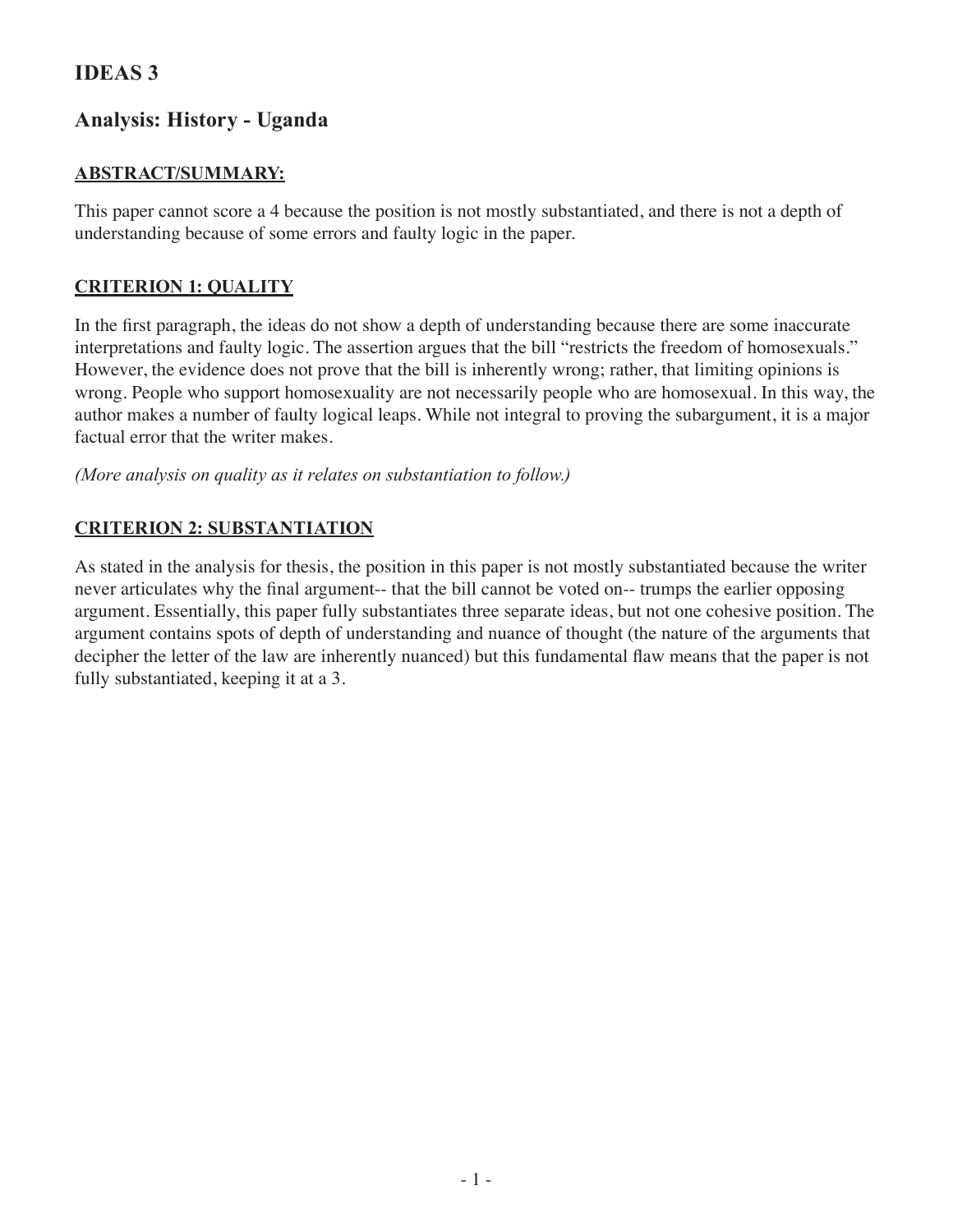## **IDEAS 3**

# **Analysis: History - Uganda**

### **Abstract/Summary:**

This paper cannot score a 4 because the position is not mostly substantiated, and there is not a depth of understanding because of some errors and faulty logic in the paper.

### **Criterion 1: Quality**

In the first paragraph, the ideas do not show a depth of understanding because there are some inaccurate interpretations and faulty logic. The assertion argues that the bill "restricts the freedom of homosexuals." However, the evidence does not prove that the bill is inherently wrong; rather, that limiting opinions is wrong. People who support homosexuality are not necessarily people who are homosexual. In this way, the author makes a number of faulty logical leaps. While not integral to proving the subargument, it is a major factual error that the writer makes.

*(More analysis on quality as it relates on substantiation to follow.)*

#### **Criterion 2: Substantiation**

As stated in the analysis for thesis, the position in this paper is not mostly substantiated because the writer never articulates why the final argument-- that the bill cannot be voted on-- trumps the earlier opposing argument. Essentially, this paper fully substantiates three separate ideas, but not one cohesive position. The argument contains spots of depth of understanding and nuance of thought (the nature of the arguments that decipher the letter of the law are inherently nuanced) but this fundamental flaw means that the paper is not fully substantiated, keeping it at a 3.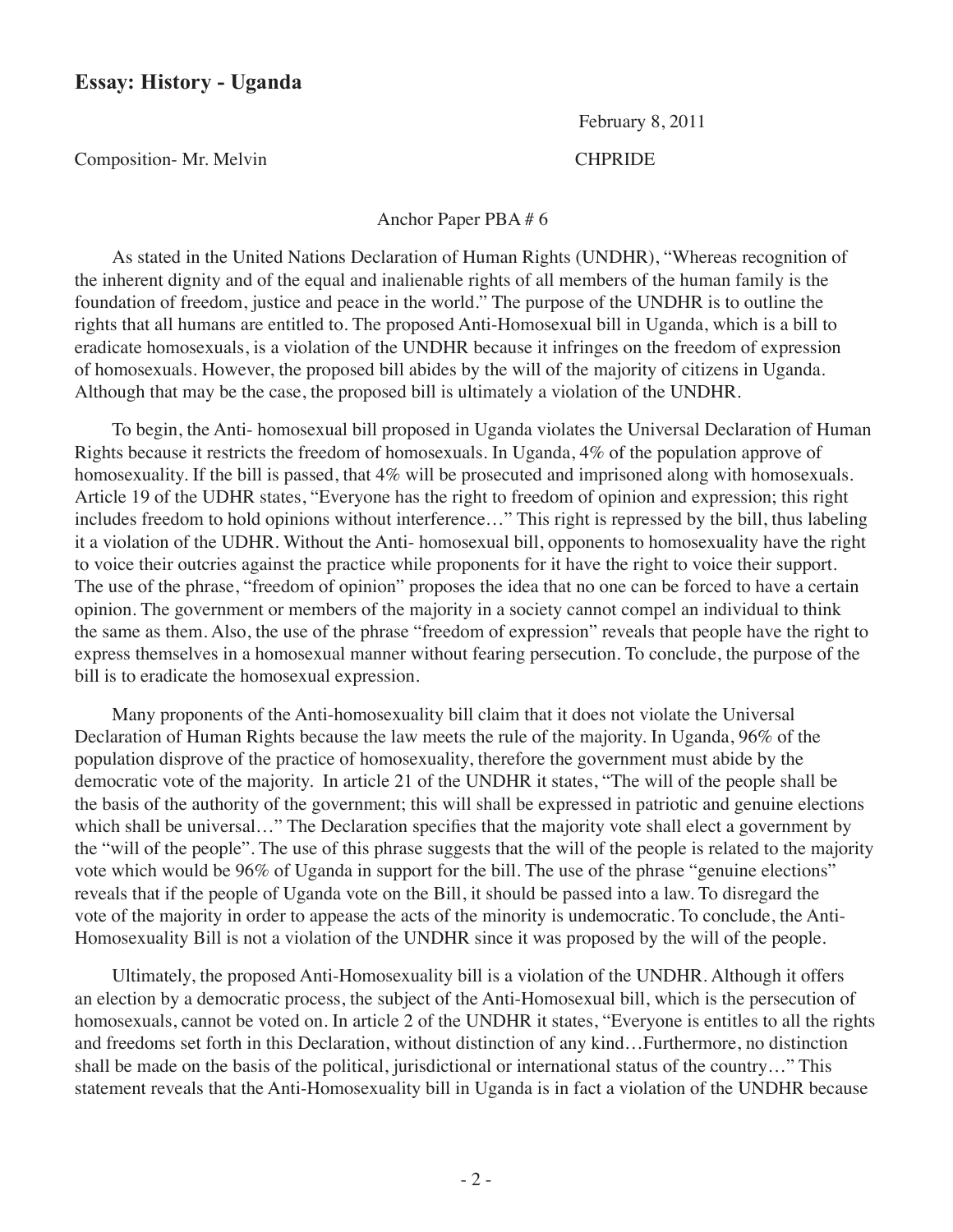#### **Essay: History - Uganda**

February 8, 2011

Composition- Mr. Melvin CHPRIDE

Anchor Paper PBA # 6

As stated in the United Nations Declaration of Human Rights (UNDHR), "Whereas recognition of the inherent dignity and of the equal and inalienable rights of all members of the human family is the foundation of freedom, justice and peace in the world." The purpose of the UNDHR is to outline the rights that all humans are entitled to. The proposed Anti-Homosexual bill in Uganda, which is a bill to eradicate homosexuals, is a violation of the UNDHR because it infringes on the freedom of expression of homosexuals. However, the proposed bill abides by the will of the majority of citizens in Uganda. Although that may be the case, the proposed bill is ultimately a violation of the UNDHR.

To begin, the Anti- homosexual bill proposed in Uganda violates the Universal Declaration of Human Rights because it restricts the freedom of homosexuals. In Uganda, 4% of the population approve of homosexuality. If the bill is passed, that 4% will be prosecuted and imprisoned along with homosexuals. Article 19 of the UDHR states, "Everyone has the right to freedom of opinion and expression; this right includes freedom to hold opinions without interference…" This right is repressed by the bill, thus labeling it a violation of the UDHR. Without the Anti- homosexual bill, opponents to homosexuality have the right to voice their outcries against the practice while proponents for it have the right to voice their support. The use of the phrase, "freedom of opinion" proposes the idea that no one can be forced to have a certain opinion. The government or members of the majority in a society cannot compel an individual to think the same as them. Also, the use of the phrase "freedom of expression" reveals that people have the right to express themselves in a homosexual manner without fearing persecution. To conclude, the purpose of the bill is to eradicate the homosexual expression.

Many proponents of the Anti-homosexuality bill claim that it does not violate the Universal Declaration of Human Rights because the law meets the rule of the majority. In Uganda, 96% of the population disprove of the practice of homosexuality, therefore the government must abide by the democratic vote of the majority. In article 21 of the UNDHR it states, "The will of the people shall be the basis of the authority of the government; this will shall be expressed in patriotic and genuine elections which shall be universal..." The Declaration specifies that the majority vote shall elect a government by the "will of the people". The use of this phrase suggests that the will of the people is related to the majority vote which would be 96% of Uganda in support for the bill. The use of the phrase "genuine elections" reveals that if the people of Uganda vote on the Bill, it should be passed into a law. To disregard the vote of the majority in order to appease the acts of the minority is undemocratic. To conclude, the Anti-Homosexuality Bill is not a violation of the UNDHR since it was proposed by the will of the people.

Ultimately, the proposed Anti-Homosexuality bill is a violation of the UNDHR. Although it offers an election by a democratic process, the subject of the Anti-Homosexual bill, which is the persecution of homosexuals, cannot be voted on. In article 2 of the UNDHR it states, "Everyone is entitles to all the rights and freedoms set forth in this Declaration, without distinction of any kind…Furthermore, no distinction shall be made on the basis of the political, jurisdictional or international status of the country…" This statement reveals that the Anti-Homosexuality bill in Uganda is in fact a violation of the UNDHR because